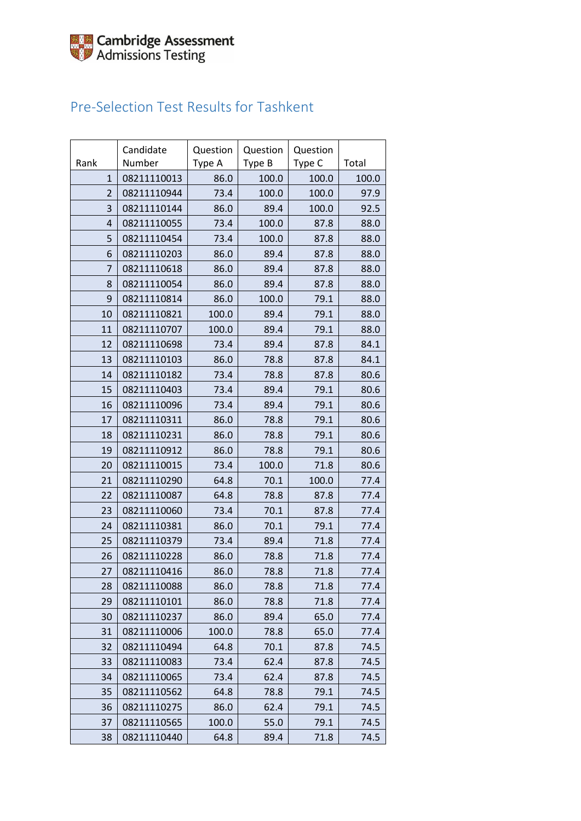## Pre-Selection Test Results for Tashkent

|              | Candidate   | Question | Question | Question |       |
|--------------|-------------|----------|----------|----------|-------|
| Rank         | Number      | Type A   | Type B   | Type C   | Total |
| $\mathbf{1}$ | 08211110013 | 86.0     | 100.0    | 100.0    | 100.0 |
| 2            | 08211110944 | 73.4     | 100.0    | 100.0    | 97.9  |
| 3            | 08211110144 | 86.0     | 89.4     | 100.0    | 92.5  |
| 4            | 08211110055 | 73.4     | 100.0    | 87.8     | 88.0  |
| 5            | 08211110454 | 73.4     | 100.0    | 87.8     | 88.0  |
| 6            | 08211110203 | 86.0     | 89.4     | 87.8     | 88.0  |
| 7            | 08211110618 | 86.0     | 89.4     | 87.8     | 88.0  |
| 8            | 08211110054 | 86.0     | 89.4     | 87.8     | 88.0  |
| 9            | 08211110814 | 86.0     | 100.0    | 79.1     | 88.0  |
| 10           | 08211110821 | 100.0    | 89.4     | 79.1     | 88.0  |
| 11           | 08211110707 | 100.0    | 89.4     | 79.1     | 88.0  |
| 12           | 08211110698 | 73.4     | 89.4     | 87.8     | 84.1  |
| 13           | 08211110103 | 86.0     | 78.8     | 87.8     | 84.1  |
| 14           | 08211110182 | 73.4     | 78.8     | 87.8     | 80.6  |
| 15           | 08211110403 | 73.4     | 89.4     | 79.1     | 80.6  |
| 16           | 08211110096 | 73.4     | 89.4     | 79.1     | 80.6  |
| 17           | 08211110311 | 86.0     | 78.8     | 79.1     | 80.6  |
| 18           | 08211110231 | 86.0     | 78.8     | 79.1     | 80.6  |
| 19           | 08211110912 | 86.0     | 78.8     | 79.1     | 80.6  |
| 20           | 08211110015 | 73.4     | 100.0    | 71.8     | 80.6  |
| 21           | 08211110290 | 64.8     | 70.1     | 100.0    | 77.4  |
| 22           | 08211110087 | 64.8     | 78.8     | 87.8     | 77.4  |
| 23           | 08211110060 | 73.4     | 70.1     | 87.8     | 77.4  |
| 24           | 08211110381 | 86.0     | 70.1     | 79.1     | 77.4  |
| 25           | 08211110379 | 73.4     | 89.4     | 71.8     | 77.4  |
| 26           | 08211110228 | 86.0     | 78.8     | 71.8     | 77.4  |
| 27           | 08211110416 | 86.0     | 78.8     | 71.8     | 77.4  |
| 28           | 08211110088 | 86.0     | 78.8     | 71.8     | 77.4  |
| 29           | 08211110101 | 86.0     | 78.8     | 71.8     | 77.4  |
| 30           | 08211110237 | 86.0     | 89.4     | 65.0     | 77.4  |
| 31           | 08211110006 | 100.0    | 78.8     | 65.0     | 77.4  |
| 32           | 08211110494 | 64.8     | 70.1     | 87.8     | 74.5  |
| 33           | 08211110083 | 73.4     | 62.4     | 87.8     | 74.5  |
| 34           | 08211110065 | 73.4     | 62.4     | 87.8     | 74.5  |
| 35           | 08211110562 | 64.8     | 78.8     | 79.1     | 74.5  |
| 36           | 08211110275 | 86.0     | 62.4     | 79.1     | 74.5  |
| 37           | 08211110565 | 100.0    | 55.0     | 79.1     | 74.5  |
| 38           | 08211110440 | 64.8     | 89.4     | 71.8     | 74.5  |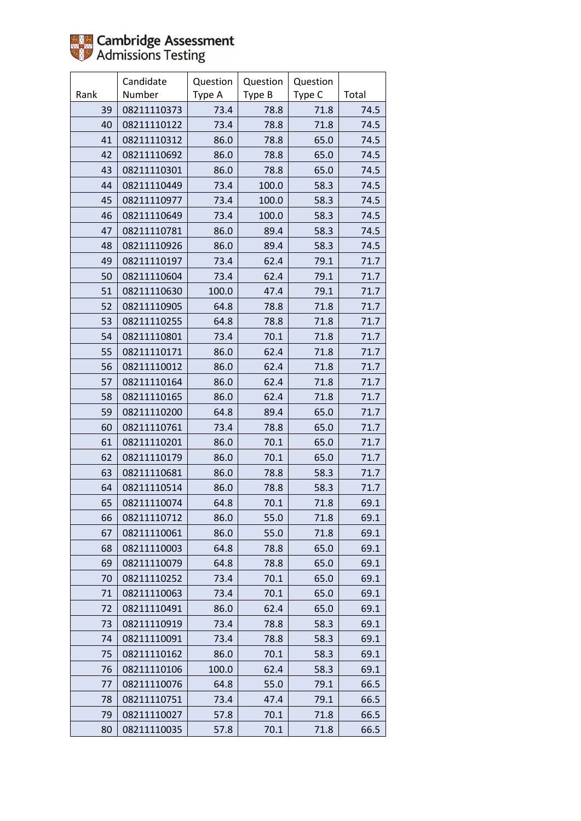

|      | Candidate   | Question | Question | Question |       |
|------|-------------|----------|----------|----------|-------|
| Rank | Number      | Type A   | Type B   | Type C   | Total |
| 39   | 08211110373 | 73.4     | 78.8     | 71.8     | 74.5  |
| 40   | 08211110122 | 73.4     | 78.8     | 71.8     | 74.5  |
| 41   | 08211110312 | 86.0     | 78.8     | 65.0     | 74.5  |
| 42   | 08211110692 | 86.0     | 78.8     | 65.0     | 74.5  |
| 43   | 08211110301 | 86.0     | 78.8     | 65.0     | 74.5  |
| 44   | 08211110449 | 73.4     | 100.0    | 58.3     | 74.5  |
| 45   | 08211110977 | 73.4     | 100.0    | 58.3     | 74.5  |
| 46   | 08211110649 | 73.4     | 100.0    | 58.3     | 74.5  |
| 47   | 08211110781 | 86.0     | 89.4     | 58.3     | 74.5  |
| 48   | 08211110926 | 86.0     | 89.4     | 58.3     | 74.5  |
| 49   | 08211110197 | 73.4     | 62.4     | 79.1     | 71.7  |
| 50   | 08211110604 | 73.4     | 62.4     | 79.1     | 71.7  |
| 51   | 08211110630 | 100.0    | 47.4     | 79.1     | 71.7  |
| 52   | 08211110905 | 64.8     | 78.8     | 71.8     | 71.7  |
| 53   | 08211110255 | 64.8     | 78.8     | 71.8     | 71.7  |
| 54   | 08211110801 | 73.4     | 70.1     | 71.8     | 71.7  |
| 55   | 08211110171 | 86.0     | 62.4     | 71.8     | 71.7  |
| 56   | 08211110012 | 86.0     | 62.4     | 71.8     | 71.7  |
| 57   | 08211110164 | 86.0     | 62.4     | 71.8     | 71.7  |
| 58   | 08211110165 | 86.0     | 62.4     | 71.8     | 71.7  |
| 59   | 08211110200 | 64.8     | 89.4     | 65.0     | 71.7  |
| 60   | 08211110761 | 73.4     | 78.8     | 65.0     | 71.7  |
| 61   | 08211110201 | 86.0     | 70.1     | 65.0     | 71.7  |
| 62   | 08211110179 | 86.0     | 70.1     | 65.0     | 71.7  |
| 63   | 08211110681 | 86.0     | 78.8     | 58.3     | 71.7  |
| 64   | 08211110514 | 86.0     | 78.8     | 58.3     | 71.7  |
| 65   | 08211110074 | 64.8     | 70.1     | 71.8     | 69.1  |
| 66   | 08211110712 | 86.0     | 55.0     | 71.8     | 69.1  |
| 67   | 08211110061 | 86.0     | 55.0     | 71.8     | 69.1  |
| 68   | 08211110003 | 64.8     | 78.8     | 65.0     | 69.1  |
| 69   | 08211110079 | 64.8     | 78.8     | 65.0     | 69.1  |
| 70   | 08211110252 | 73.4     | 70.1     | 65.0     | 69.1  |
| 71   | 08211110063 | 73.4     | 70.1     | 65.0     | 69.1  |
| 72   | 08211110491 | 86.0     | 62.4     | 65.0     | 69.1  |
| 73   | 08211110919 | 73.4     | 78.8     | 58.3     | 69.1  |
| 74   | 08211110091 | 73.4     | 78.8     | 58.3     | 69.1  |
| 75   | 08211110162 | 86.0     | 70.1     | 58.3     | 69.1  |
| 76   | 08211110106 | 100.0    | 62.4     | 58.3     | 69.1  |
| 77   | 08211110076 | 64.8     | 55.0     | 79.1     | 66.5  |
| 78   | 08211110751 | 73.4     | 47.4     | 79.1     | 66.5  |
| 79   | 08211110027 | 57.8     | 70.1     | 71.8     | 66.5  |
| 80   | 08211110035 | 57.8     | 70.1     | 71.8     | 66.5  |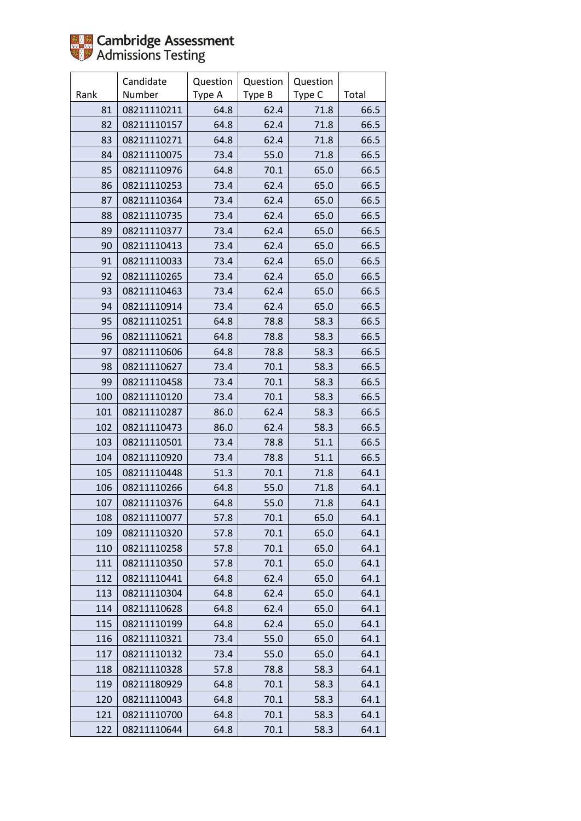

|      | Candidate   | Question | Question | Question |       |
|------|-------------|----------|----------|----------|-------|
| Rank | Number      | Type A   | Type B   | Type C   | Total |
| 81   | 08211110211 | 64.8     | 62.4     | 71.8     | 66.5  |
| 82   | 08211110157 | 64.8     | 62.4     | 71.8     | 66.5  |
| 83   | 08211110271 | 64.8     | 62.4     | 71.8     | 66.5  |
| 84   | 08211110075 | 73.4     | 55.0     | 71.8     | 66.5  |
| 85   | 08211110976 | 64.8     | 70.1     | 65.0     | 66.5  |
| 86   | 08211110253 | 73.4     | 62.4     | 65.0     | 66.5  |
| 87   | 08211110364 | 73.4     | 62.4     | 65.0     | 66.5  |
| 88   | 08211110735 | 73.4     | 62.4     | 65.0     | 66.5  |
| 89   | 08211110377 | 73.4     | 62.4     | 65.0     | 66.5  |
| 90   | 08211110413 | 73.4     | 62.4     | 65.0     | 66.5  |
| 91   | 08211110033 | 73.4     | 62.4     | 65.0     | 66.5  |
| 92   | 08211110265 | 73.4     | 62.4     | 65.0     | 66.5  |
| 93   | 08211110463 | 73.4     | 62.4     | 65.0     | 66.5  |
| 94   | 08211110914 | 73.4     | 62.4     | 65.0     | 66.5  |
| 95   | 08211110251 | 64.8     | 78.8     | 58.3     | 66.5  |
| 96   | 08211110621 | 64.8     | 78.8     | 58.3     | 66.5  |
| 97   | 08211110606 | 64.8     | 78.8     | 58.3     | 66.5  |
| 98   | 08211110627 | 73.4     | 70.1     | 58.3     | 66.5  |
| 99   | 08211110458 | 73.4     | 70.1     | 58.3     | 66.5  |
| 100  | 08211110120 | 73.4     | 70.1     | 58.3     | 66.5  |
| 101  | 08211110287 | 86.0     | 62.4     | 58.3     | 66.5  |
| 102  | 08211110473 | 86.0     | 62.4     | 58.3     | 66.5  |
| 103  | 08211110501 | 73.4     | 78.8     | 51.1     | 66.5  |
| 104  | 08211110920 | 73.4     | 78.8     | 51.1     | 66.5  |
| 105  | 08211110448 | 51.3     | 70.1     | 71.8     | 64.1  |
| 106  | 08211110266 | 64.8     | 55.0     | 71.8     | 64.1  |
| 107  | 08211110376 | 64.8     | 55.0     | 71.8     | 64.1  |
| 108  | 08211110077 | 57.8     | 70.1     | 65.0     | 64.1  |
| 109  | 08211110320 | 57.8     | 70.1     | 65.0     | 64.1  |
| 110  | 08211110258 | 57.8     | 70.1     | 65.0     | 64.1  |
| 111  | 08211110350 | 57.8     | 70.1     | 65.0     | 64.1  |
| 112  | 08211110441 | 64.8     | 62.4     | 65.0     | 64.1  |
| 113  | 08211110304 | 64.8     | 62.4     | 65.0     | 64.1  |
| 114  | 08211110628 | 64.8     | 62.4     | 65.0     | 64.1  |
| 115  | 08211110199 | 64.8     | 62.4     | 65.0     | 64.1  |
| 116  | 08211110321 | 73.4     | 55.0     | 65.0     | 64.1  |
| 117  | 08211110132 | 73.4     | 55.0     | 65.0     | 64.1  |
| 118  | 08211110328 | 57.8     | 78.8     | 58.3     | 64.1  |
| 119  | 08211180929 | 64.8     | 70.1     | 58.3     | 64.1  |
| 120  | 08211110043 | 64.8     | 70.1     | 58.3     | 64.1  |
| 121  | 08211110700 | 64.8     | 70.1     | 58.3     | 64.1  |
| 122  | 08211110644 | 64.8     | 70.1     | 58.3     | 64.1  |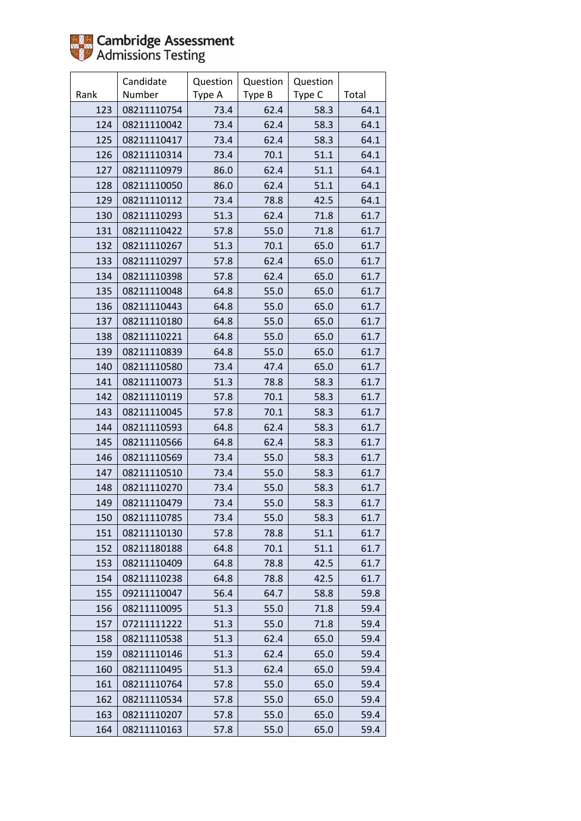

|      | Candidate   | Question | Question | Question |       |
|------|-------------|----------|----------|----------|-------|
| Rank | Number      | Type A   | Type B   | Type C   | Total |
| 123  | 08211110754 | 73.4     | 62.4     | 58.3     | 64.1  |
| 124  | 08211110042 | 73.4     | 62.4     | 58.3     | 64.1  |
| 125  | 08211110417 | 73.4     | 62.4     | 58.3     | 64.1  |
| 126  | 08211110314 | 73.4     | 70.1     | 51.1     | 64.1  |
| 127  | 08211110979 | 86.0     | 62.4     | 51.1     | 64.1  |
| 128  | 08211110050 | 86.0     | 62.4     | 51.1     | 64.1  |
| 129  | 08211110112 | 73.4     | 78.8     | 42.5     | 64.1  |
| 130  | 08211110293 | 51.3     | 62.4     | 71.8     | 61.7  |
| 131  | 08211110422 | 57.8     | 55.0     | 71.8     | 61.7  |
| 132  | 08211110267 | 51.3     | 70.1     | 65.0     | 61.7  |
| 133  | 08211110297 | 57.8     | 62.4     | 65.0     | 61.7  |
| 134  | 08211110398 | 57.8     | 62.4     | 65.0     | 61.7  |
| 135  | 08211110048 | 64.8     | 55.0     | 65.0     | 61.7  |
| 136  | 08211110443 | 64.8     | 55.0     | 65.0     | 61.7  |
| 137  | 08211110180 | 64.8     | 55.0     | 65.0     | 61.7  |
| 138  | 08211110221 | 64.8     | 55.0     | 65.0     | 61.7  |
| 139  | 08211110839 | 64.8     | 55.0     | 65.0     | 61.7  |
| 140  | 08211110580 | 73.4     | 47.4     | 65.0     | 61.7  |
| 141  | 08211110073 | 51.3     | 78.8     | 58.3     | 61.7  |
| 142  | 08211110119 | 57.8     | 70.1     | 58.3     | 61.7  |
| 143  | 08211110045 | 57.8     | 70.1     | 58.3     | 61.7  |
| 144  | 08211110593 | 64.8     | 62.4     | 58.3     | 61.7  |
| 145  | 08211110566 | 64.8     | 62.4     | 58.3     | 61.7  |
| 146  | 08211110569 | 73.4     | 55.0     | 58.3     | 61.7  |
| 147  | 08211110510 | 73.4     | 55.0     | 58.3     | 61.7  |
| 148  | 08211110270 | 73.4     | 55.0     | 58.3     | 61.7  |
| 149  | 08211110479 | 73.4     | 55.0     | 58.3     | 61.7  |
| 150  | 08211110785 | 73.4     | 55.0     | 58.3     | 61.7  |
| 151  | 08211110130 | 57.8     | 78.8     | 51.1     | 61.7  |
| 152  | 08211180188 | 64.8     | 70.1     | 51.1     | 61.7  |
| 153  | 08211110409 | 64.8     | 78.8     | 42.5     | 61.7  |
| 154  | 08211110238 | 64.8     | 78.8     | 42.5     | 61.7  |
| 155  | 09211110047 | 56.4     | 64.7     | 58.8     | 59.8  |
| 156  | 08211110095 | 51.3     | 55.0     | 71.8     | 59.4  |
| 157  | 07211111222 | 51.3     | 55.0     | 71.8     | 59.4  |
| 158  | 08211110538 | 51.3     | 62.4     | 65.0     | 59.4  |
| 159  | 08211110146 | 51.3     | 62.4     | 65.0     | 59.4  |
| 160  | 08211110495 | 51.3     | 62.4     | 65.0     | 59.4  |
| 161  | 08211110764 | 57.8     | 55.0     | 65.0     | 59.4  |
| 162  | 08211110534 | 57.8     | 55.0     | 65.0     | 59.4  |
| 163  | 08211110207 | 57.8     | 55.0     | 65.0     | 59.4  |
| 164  | 08211110163 | 57.8     | 55.0     | 65.0     | 59.4  |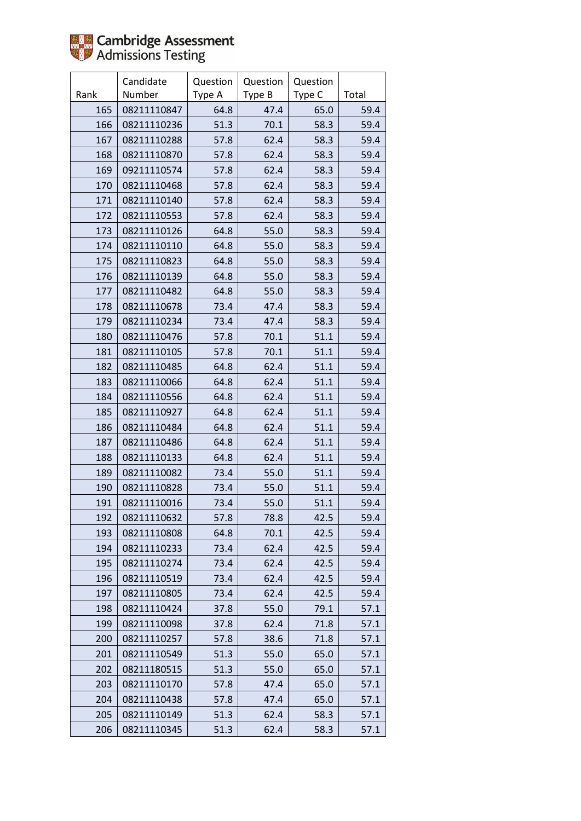

|      | Candidate   | Question | Question | Question |       |
|------|-------------|----------|----------|----------|-------|
| Rank | Number      | Type A   | Type B   | Type C   | Total |
| 165  | 08211110847 | 64.8     | 47.4     | 65.0     | 59.4  |
| 166  | 08211110236 | 51.3     | 70.1     | 58.3     | 59.4  |
| 167  | 08211110288 | 57.8     | 62.4     | 58.3     | 59.4  |
| 168  | 08211110870 | 57.8     | 62.4     | 58.3     | 59.4  |
| 169  | 09211110574 | 57.8     | 62.4     | 58.3     | 59.4  |
| 170  | 08211110468 | 57.8     | 62.4     | 58.3     | 59.4  |
| 171  | 08211110140 | 57.8     | 62.4     | 58.3     | 59.4  |
| 172  | 08211110553 | 57.8     | 62.4     | 58.3     | 59.4  |
| 173  | 08211110126 | 64.8     | 55.0     | 58.3     | 59.4  |
| 174  | 08211110110 | 64.8     | 55.0     | 58.3     | 59.4  |
| 175  | 08211110823 | 64.8     | 55.0     | 58.3     | 59.4  |
| 176  | 08211110139 | 64.8     | 55.0     | 58.3     | 59.4  |
| 177  | 08211110482 | 64.8     | 55.0     | 58.3     | 59.4  |
| 178  | 08211110678 | 73.4     | 47.4     | 58.3     | 59.4  |
| 179  | 08211110234 | 73.4     | 47.4     | 58.3     | 59.4  |
| 180  | 08211110476 | 57.8     | 70.1     | 51.1     | 59.4  |
| 181  | 08211110105 | 57.8     | 70.1     | 51.1     | 59.4  |
| 182  | 08211110485 | 64.8     | 62.4     | 51.1     | 59.4  |
| 183  | 08211110066 | 64.8     | 62.4     | 51.1     | 59.4  |
| 184  | 08211110556 | 64.8     | 62.4     | 51.1     | 59.4  |
| 185  | 08211110927 | 64.8     | 62.4     | 51.1     | 59.4  |
| 186  | 08211110484 | 64.8     | 62.4     | 51.1     | 59.4  |
| 187  | 08211110486 | 64.8     | 62.4     | 51.1     | 59.4  |
| 188  | 08211110133 | 64.8     | 62.4     | 51.1     | 59.4  |
| 189  | 08211110082 | 73.4     | 55.0     | 51.1     | 59.4  |
| 190  | 08211110828 | 73.4     | 55.0     | 51.1     | 59.4  |
| 191  | 08211110016 | 73.4     | 55.0     | 51.1     | 59.4  |
| 192  | 08211110632 | 57.8     | 78.8     | 42.5     | 59.4  |
| 193  | 08211110808 | 64.8     | 70.1     | 42.5     | 59.4  |
| 194  | 08211110233 | 73.4     | 62.4     | 42.5     | 59.4  |
| 195  | 08211110274 | 73.4     | 62.4     | 42.5     | 59.4  |
| 196  | 08211110519 | 73.4     | 62.4     | 42.5     | 59.4  |
| 197  | 08211110805 | 73.4     | 62.4     | 42.5     | 59.4  |
| 198  | 08211110424 | 37.8     | 55.0     | 79.1     | 57.1  |
| 199  | 08211110098 | 37.8     | 62.4     | 71.8     | 57.1  |
| 200  | 08211110257 | 57.8     | 38.6     | 71.8     | 57.1  |
| 201  | 08211110549 | 51.3     | 55.0     | 65.0     | 57.1  |
| 202  | 08211180515 | 51.3     | 55.0     | 65.0     | 57.1  |
| 203  | 08211110170 | 57.8     | 47.4     | 65.0     | 57.1  |
| 204  | 08211110438 | 57.8     | 47.4     | 65.0     | 57.1  |
| 205  | 08211110149 | 51.3     | 62.4     | 58.3     | 57.1  |
| 206  | 08211110345 | 51.3     | 62.4     | 58.3     | 57.1  |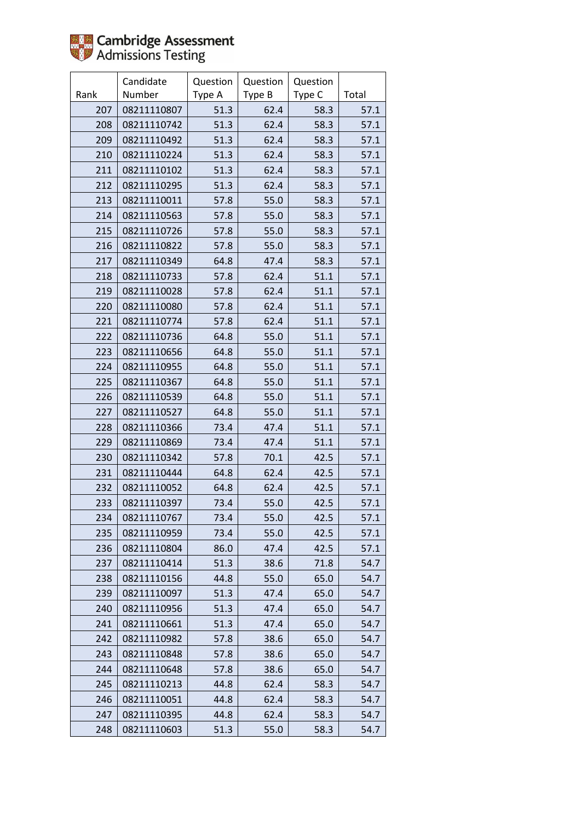

|      | Candidate   | Question | Question | Question |       |
|------|-------------|----------|----------|----------|-------|
| Rank | Number      | Type A   | Type B   | Type C   | Total |
| 207  | 08211110807 | 51.3     | 62.4     | 58.3     | 57.1  |
| 208  | 08211110742 | 51.3     | 62.4     | 58.3     | 57.1  |
| 209  | 08211110492 | 51.3     | 62.4     | 58.3     | 57.1  |
| 210  | 08211110224 | 51.3     | 62.4     | 58.3     | 57.1  |
| 211  | 08211110102 | 51.3     | 62.4     | 58.3     | 57.1  |
| 212  | 08211110295 | 51.3     | 62.4     | 58.3     | 57.1  |
| 213  | 08211110011 | 57.8     | 55.0     | 58.3     | 57.1  |
| 214  | 08211110563 | 57.8     | 55.0     | 58.3     | 57.1  |
| 215  | 08211110726 | 57.8     | 55.0     | 58.3     | 57.1  |
| 216  | 08211110822 | 57.8     | 55.0     | 58.3     | 57.1  |
| 217  | 08211110349 | 64.8     | 47.4     | 58.3     | 57.1  |
| 218  | 08211110733 | 57.8     | 62.4     | 51.1     | 57.1  |
| 219  | 08211110028 | 57.8     | 62.4     | 51.1     | 57.1  |
| 220  | 08211110080 | 57.8     | 62.4     | 51.1     | 57.1  |
| 221  | 08211110774 | 57.8     | 62.4     | 51.1     | 57.1  |
| 222  | 08211110736 | 64.8     | 55.0     | 51.1     | 57.1  |
| 223  | 08211110656 | 64.8     | 55.0     | 51.1     | 57.1  |
| 224  | 08211110955 | 64.8     | 55.0     | 51.1     | 57.1  |
| 225  | 08211110367 | 64.8     | 55.0     | 51.1     | 57.1  |
| 226  | 08211110539 | 64.8     | 55.0     | 51.1     | 57.1  |
| 227  | 08211110527 | 64.8     | 55.0     | 51.1     | 57.1  |
| 228  | 08211110366 | 73.4     | 47.4     | 51.1     | 57.1  |
| 229  | 08211110869 | 73.4     | 47.4     | 51.1     | 57.1  |
| 230  | 08211110342 | 57.8     | 70.1     | 42.5     | 57.1  |
| 231  | 08211110444 | 64.8     | 62.4     | 42.5     | 57.1  |
| 232  | 08211110052 | 64.8     | 62.4     | 42.5     | 57.1  |
| 233  | 08211110397 | 73.4     | 55.0     | 42.5     | 57.1  |
| 234  | 08211110767 | 73.4     | 55.0     | 42.5     | 57.1  |
| 235  | 08211110959 | 73.4     | 55.0     | 42.5     | 57.1  |
| 236  | 08211110804 | 86.0     | 47.4     | 42.5     | 57.1  |
| 237  | 08211110414 | 51.3     | 38.6     | 71.8     | 54.7  |
| 238  | 08211110156 | 44.8     | 55.0     | 65.0     | 54.7  |
| 239  | 08211110097 | 51.3     | 47.4     | 65.0     | 54.7  |
| 240  | 08211110956 | 51.3     | 47.4     | 65.0     | 54.7  |
| 241  | 08211110661 | 51.3     | 47.4     | 65.0     | 54.7  |
| 242  | 08211110982 | 57.8     | 38.6     | 65.0     | 54.7  |
| 243  | 08211110848 | 57.8     | 38.6     | 65.0     | 54.7  |
| 244  | 08211110648 | 57.8     | 38.6     | 65.0     | 54.7  |
| 245  | 08211110213 | 44.8     | 62.4     | 58.3     | 54.7  |
| 246  | 08211110051 | 44.8     | 62.4     | 58.3     | 54.7  |
| 247  | 08211110395 | 44.8     | 62.4     | 58.3     | 54.7  |
| 248  | 08211110603 | 51.3     | 55.0     | 58.3     | 54.7  |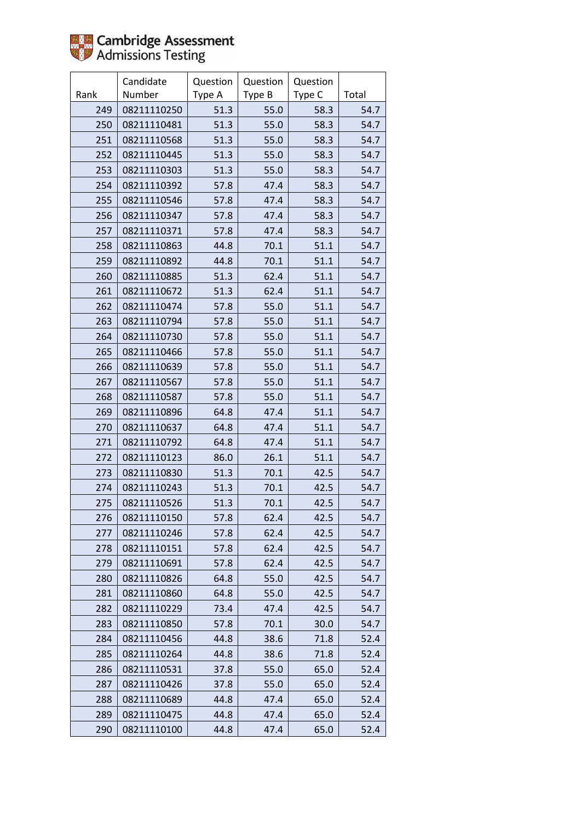

|      | Candidate   | Question | Question | Question |       |
|------|-------------|----------|----------|----------|-------|
| Rank | Number      | Type A   | Type B   | Type C   | Total |
| 249  | 08211110250 | 51.3     | 55.0     | 58.3     | 54.7  |
| 250  | 08211110481 | 51.3     | 55.0     | 58.3     | 54.7  |
| 251  | 08211110568 | 51.3     | 55.0     | 58.3     | 54.7  |
| 252  | 08211110445 | 51.3     | 55.0     | 58.3     | 54.7  |
| 253  | 08211110303 | 51.3     | 55.0     | 58.3     | 54.7  |
| 254  | 08211110392 | 57.8     | 47.4     | 58.3     | 54.7  |
| 255  | 08211110546 | 57.8     | 47.4     | 58.3     | 54.7  |
| 256  | 08211110347 | 57.8     | 47.4     | 58.3     | 54.7  |
| 257  | 08211110371 | 57.8     | 47.4     | 58.3     | 54.7  |
| 258  | 08211110863 | 44.8     | 70.1     | 51.1     | 54.7  |
| 259  | 08211110892 | 44.8     | 70.1     | 51.1     | 54.7  |
| 260  | 08211110885 | 51.3     | 62.4     | 51.1     | 54.7  |
| 261  | 08211110672 | 51.3     | 62.4     | 51.1     | 54.7  |
| 262  | 08211110474 | 57.8     | 55.0     | 51.1     | 54.7  |
| 263  | 08211110794 | 57.8     | 55.0     | 51.1     | 54.7  |
| 264  | 08211110730 | 57.8     | 55.0     | 51.1     | 54.7  |
| 265  | 08211110466 | 57.8     | 55.0     | 51.1     | 54.7  |
| 266  | 08211110639 | 57.8     | 55.0     | 51.1     | 54.7  |
| 267  | 08211110567 | 57.8     | 55.0     | 51.1     | 54.7  |
| 268  | 08211110587 | 57.8     | 55.0     | 51.1     | 54.7  |
| 269  | 08211110896 | 64.8     | 47.4     | 51.1     | 54.7  |
| 270  | 08211110637 | 64.8     | 47.4     | 51.1     | 54.7  |
| 271  | 08211110792 | 64.8     | 47.4     | 51.1     | 54.7  |
| 272  | 08211110123 | 86.0     | 26.1     | 51.1     | 54.7  |
| 273  | 08211110830 | 51.3     | 70.1     | 42.5     | 54.7  |
| 274  | 08211110243 | 51.3     | 70.1     | 42.5     | 54.7  |
| 275  | 08211110526 | 51.3     | 70.1     | 42.5     | 54.7  |
| 276  | 08211110150 | 57.8     | 62.4     | 42.5     | 54.7  |
| 277  | 08211110246 | 57.8     | 62.4     | 42.5     | 54.7  |
| 278  | 08211110151 | 57.8     | 62.4     | 42.5     | 54.7  |
| 279  | 08211110691 | 57.8     | 62.4     | 42.5     | 54.7  |
| 280  | 08211110826 | 64.8     | 55.0     | 42.5     | 54.7  |
| 281  | 08211110860 | 64.8     | 55.0     | 42.5     | 54.7  |
| 282  | 08211110229 | 73.4     | 47.4     | 42.5     | 54.7  |
| 283  | 08211110850 | 57.8     | 70.1     | 30.0     | 54.7  |
| 284  | 08211110456 | 44.8     | 38.6     | 71.8     | 52.4  |
| 285  | 08211110264 | 44.8     | 38.6     | 71.8     | 52.4  |
| 286  | 08211110531 | 37.8     | 55.0     | 65.0     | 52.4  |
| 287  | 08211110426 | 37.8     | 55.0     | 65.0     | 52.4  |
| 288  | 08211110689 | 44.8     | 47.4     | 65.0     | 52.4  |
| 289  | 08211110475 | 44.8     | 47.4     | 65.0     | 52.4  |
| 290  | 08211110100 | 44.8     | 47.4     | 65.0     | 52.4  |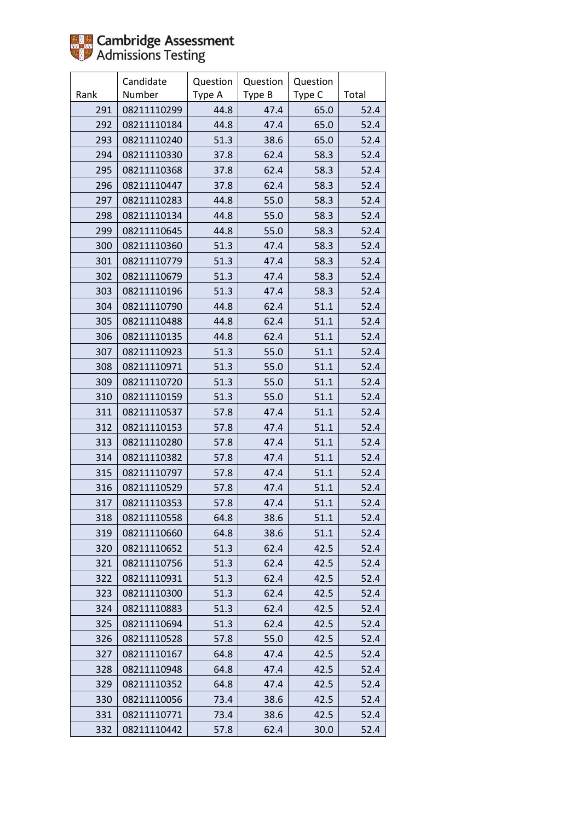

|      | Candidate   | Question | Question | Question |       |
|------|-------------|----------|----------|----------|-------|
| Rank | Number      | Type A   | Type B   | Type C   | Total |
| 291  | 08211110299 | 44.8     | 47.4     | 65.0     | 52.4  |
| 292  | 08211110184 | 44.8     | 47.4     | 65.0     | 52.4  |
| 293  | 08211110240 | 51.3     | 38.6     | 65.0     | 52.4  |
| 294  | 08211110330 | 37.8     | 62.4     | 58.3     | 52.4  |
| 295  | 08211110368 | 37.8     | 62.4     | 58.3     | 52.4  |
| 296  | 08211110447 | 37.8     | 62.4     | 58.3     | 52.4  |
| 297  | 08211110283 | 44.8     | 55.0     | 58.3     | 52.4  |
| 298  | 08211110134 | 44.8     | 55.0     | 58.3     | 52.4  |
| 299  | 08211110645 | 44.8     | 55.0     | 58.3     | 52.4  |
| 300  | 08211110360 | 51.3     | 47.4     | 58.3     | 52.4  |
| 301  | 08211110779 | 51.3     | 47.4     | 58.3     | 52.4  |
| 302  | 08211110679 | 51.3     | 47.4     | 58.3     | 52.4  |
| 303  | 08211110196 | 51.3     | 47.4     | 58.3     | 52.4  |
| 304  | 08211110790 | 44.8     | 62.4     | 51.1     | 52.4  |
| 305  | 08211110488 | 44.8     | 62.4     | 51.1     | 52.4  |
| 306  | 08211110135 | 44.8     | 62.4     | 51.1     | 52.4  |
| 307  | 08211110923 | 51.3     | 55.0     | 51.1     | 52.4  |
| 308  | 08211110971 | 51.3     | 55.0     | 51.1     | 52.4  |
| 309  | 08211110720 | 51.3     | 55.0     | 51.1     | 52.4  |
| 310  | 08211110159 | 51.3     | 55.0     | 51.1     | 52.4  |
| 311  | 08211110537 | 57.8     | 47.4     | 51.1     | 52.4  |
| 312  | 08211110153 | 57.8     | 47.4     | 51.1     | 52.4  |
| 313  | 08211110280 | 57.8     | 47.4     | 51.1     | 52.4  |
| 314  | 08211110382 | 57.8     | 47.4     | 51.1     | 52.4  |
| 315  | 08211110797 | 57.8     | 47.4     | 51.1     | 52.4  |
| 316  | 08211110529 | 57.8     | 47.4     | 51.1     | 52.4  |
| 317  | 08211110353 | 57.8     | 47.4     | 51.1     | 52.4  |
| 318  | 08211110558 | 64.8     | 38.6     | 51.1     | 52.4  |
| 319  | 08211110660 | 64.8     | 38.6     | 51.1     | 52.4  |
| 320  | 08211110652 | 51.3     | 62.4     | 42.5     | 52.4  |
| 321  | 08211110756 | 51.3     | 62.4     | 42.5     | 52.4  |
| 322  | 08211110931 | 51.3     | 62.4     | 42.5     | 52.4  |
| 323  | 08211110300 | 51.3     | 62.4     | 42.5     | 52.4  |
| 324  | 08211110883 | 51.3     | 62.4     | 42.5     | 52.4  |
| 325  | 08211110694 | 51.3     | 62.4     | 42.5     | 52.4  |
| 326  | 08211110528 | 57.8     | 55.0     | 42.5     | 52.4  |
| 327  | 08211110167 | 64.8     | 47.4     | 42.5     | 52.4  |
| 328  | 08211110948 | 64.8     | 47.4     | 42.5     | 52.4  |
| 329  | 08211110352 | 64.8     | 47.4     | 42.5     | 52.4  |
| 330  | 08211110056 | 73.4     | 38.6     | 42.5     | 52.4  |
| 331  | 08211110771 | 73.4     | 38.6     | 42.5     | 52.4  |
| 332  | 08211110442 | 57.8     | 62.4     | 30.0     | 52.4  |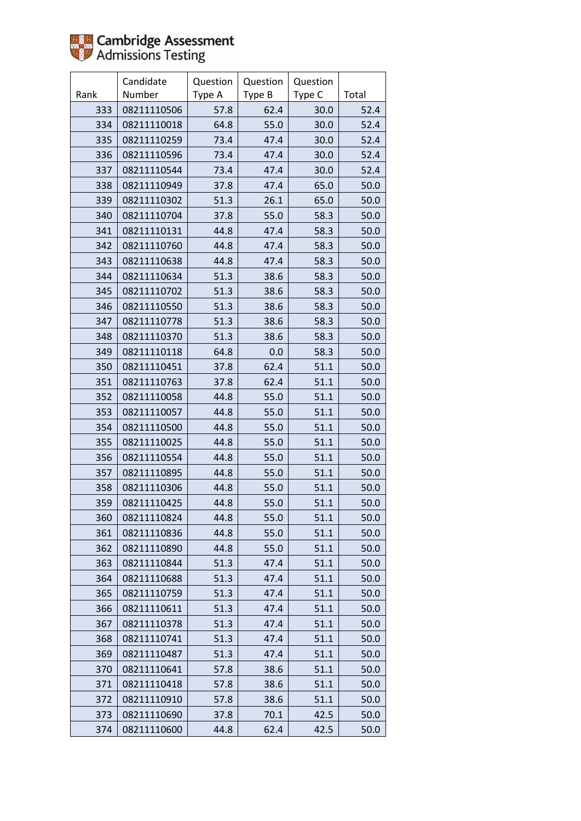

|      | Candidate   | Question | Question | Question |       |
|------|-------------|----------|----------|----------|-------|
| Rank | Number      | Type A   | Type B   | Type C   | Total |
| 333  | 08211110506 | 57.8     | 62.4     | 30.0     | 52.4  |
| 334  | 08211110018 | 64.8     | 55.0     | 30.0     | 52.4  |
| 335  | 08211110259 | 73.4     | 47.4     | 30.0     | 52.4  |
| 336  | 08211110596 | 73.4     | 47.4     | 30.0     | 52.4  |
| 337  | 08211110544 | 73.4     | 47.4     | 30.0     | 52.4  |
| 338  | 08211110949 | 37.8     | 47.4     | 65.0     | 50.0  |
| 339  | 08211110302 | 51.3     | 26.1     | 65.0     | 50.0  |
| 340  | 08211110704 | 37.8     | 55.0     | 58.3     | 50.0  |
| 341  | 08211110131 | 44.8     | 47.4     | 58.3     | 50.0  |
| 342  | 08211110760 | 44.8     | 47.4     | 58.3     | 50.0  |
| 343  | 08211110638 | 44.8     | 47.4     | 58.3     | 50.0  |
| 344  | 08211110634 | 51.3     | 38.6     | 58.3     | 50.0  |
| 345  | 08211110702 | 51.3     | 38.6     | 58.3     | 50.0  |
| 346  | 08211110550 | 51.3     | 38.6     | 58.3     | 50.0  |
| 347  | 08211110778 | 51.3     | 38.6     | 58.3     | 50.0  |
| 348  | 08211110370 | 51.3     | 38.6     | 58.3     | 50.0  |
| 349  | 08211110118 | 64.8     | 0.0      | 58.3     | 50.0  |
| 350  | 08211110451 | 37.8     | 62.4     | 51.1     | 50.0  |
| 351  | 08211110763 | 37.8     | 62.4     | 51.1     | 50.0  |
| 352  | 08211110058 | 44.8     | 55.0     | 51.1     | 50.0  |
| 353  | 08211110057 | 44.8     | 55.0     | 51.1     | 50.0  |
| 354  | 08211110500 | 44.8     | 55.0     | 51.1     | 50.0  |
| 355  | 08211110025 | 44.8     | 55.0     | 51.1     | 50.0  |
| 356  | 08211110554 | 44.8     | 55.0     | 51.1     | 50.0  |
| 357  | 08211110895 | 44.8     | 55.0     | 51.1     | 50.0  |
| 358  | 08211110306 | 44.8     | 55.0     | 51.1     | 50.0  |
| 359  | 08211110425 | 44.8     | 55.0     | 51.1     | 50.0  |
| 360  | 08211110824 | 44.8     | 55.0     | 51.1     | 50.0  |
| 361  | 08211110836 | 44.8     | 55.0     | 51.1     | 50.0  |
| 362  | 08211110890 | 44.8     | 55.0     | 51.1     | 50.0  |
| 363  | 08211110844 | 51.3     | 47.4     | 51.1     | 50.0  |
| 364  | 08211110688 | 51.3     | 47.4     | 51.1     | 50.0  |
| 365  | 08211110759 | 51.3     | 47.4     | 51.1     | 50.0  |
| 366  | 08211110611 | 51.3     | 47.4     | 51.1     | 50.0  |
| 367  | 08211110378 | 51.3     | 47.4     | 51.1     | 50.0  |
| 368  | 08211110741 | 51.3     | 47.4     | 51.1     | 50.0  |
| 369  | 08211110487 | 51.3     | 47.4     | 51.1     | 50.0  |
| 370  | 08211110641 | 57.8     | 38.6     | 51.1     | 50.0  |
| 371  | 08211110418 | 57.8     | 38.6     | 51.1     | 50.0  |
| 372  | 08211110910 | 57.8     | 38.6     | 51.1     | 50.0  |
| 373  | 08211110690 | 37.8     | 70.1     | 42.5     | 50.0  |
| 374  | 08211110600 | 44.8     | 62.4     | 42.5     | 50.0  |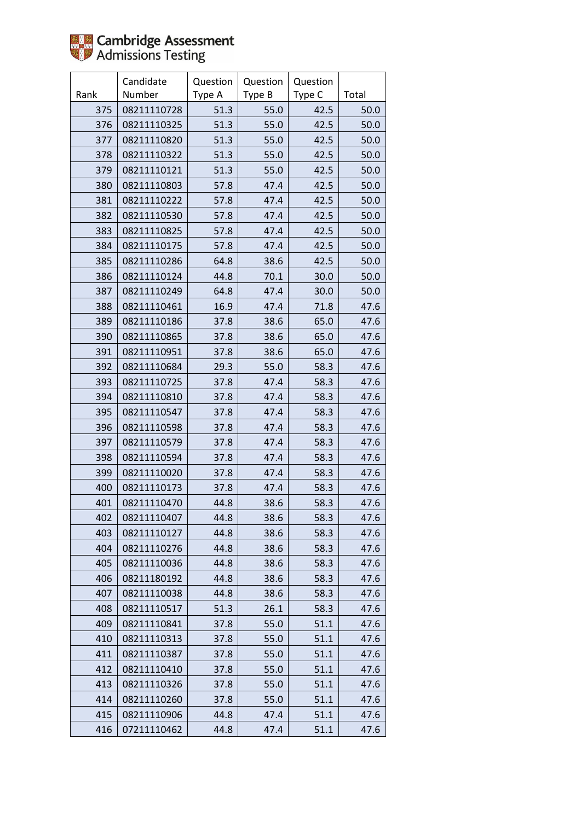

|      | Candidate   | Question | Question | Question |       |
|------|-------------|----------|----------|----------|-------|
| Rank | Number      | Type A   | Type B   | Type C   | Total |
| 375  | 08211110728 | 51.3     | 55.0     | 42.5     | 50.0  |
| 376  | 08211110325 | 51.3     | 55.0     | 42.5     | 50.0  |
| 377  | 08211110820 | 51.3     | 55.0     | 42.5     | 50.0  |
| 378  | 08211110322 | 51.3     | 55.0     | 42.5     | 50.0  |
| 379  | 08211110121 | 51.3     | 55.0     | 42.5     | 50.0  |
| 380  | 08211110803 | 57.8     | 47.4     | 42.5     | 50.0  |
| 381  | 08211110222 | 57.8     | 47.4     | 42.5     | 50.0  |
| 382  | 08211110530 | 57.8     | 47.4     | 42.5     | 50.0  |
| 383  | 08211110825 | 57.8     | 47.4     | 42.5     | 50.0  |
| 384  | 08211110175 | 57.8     | 47.4     | 42.5     | 50.0  |
| 385  | 08211110286 | 64.8     | 38.6     | 42.5     | 50.0  |
| 386  | 08211110124 | 44.8     | 70.1     | 30.0     | 50.0  |
| 387  | 08211110249 | 64.8     | 47.4     | 30.0     | 50.0  |
| 388  | 08211110461 | 16.9     | 47.4     | 71.8     | 47.6  |
| 389  | 08211110186 | 37.8     | 38.6     | 65.0     | 47.6  |
| 390  | 08211110865 | 37.8     | 38.6     | 65.0     | 47.6  |
| 391  | 08211110951 | 37.8     | 38.6     | 65.0     | 47.6  |
| 392  | 08211110684 | 29.3     | 55.0     | 58.3     | 47.6  |
| 393  | 08211110725 | 37.8     | 47.4     | 58.3     | 47.6  |
| 394  | 08211110810 | 37.8     | 47.4     | 58.3     | 47.6  |
| 395  | 08211110547 | 37.8     | 47.4     | 58.3     | 47.6  |
| 396  | 08211110598 | 37.8     | 47.4     | 58.3     | 47.6  |
| 397  | 08211110579 | 37.8     | 47.4     | 58.3     | 47.6  |
| 398  | 08211110594 | 37.8     | 47.4     | 58.3     | 47.6  |
| 399  | 08211110020 | 37.8     | 47.4     | 58.3     | 47.6  |
| 400  | 08211110173 | 37.8     | 47.4     | 58.3     | 47.6  |
| 401  | 08211110470 | 44.8     | 38.6     | 58.3     | 47.6  |
| 402  | 08211110407 | 44.8     | 38.6     | 58.3     | 47.6  |
| 403  | 08211110127 | 44.8     | 38.6     | 58.3     | 47.6  |
| 404  | 08211110276 | 44.8     | 38.6     | 58.3     | 47.6  |
| 405  | 08211110036 | 44.8     | 38.6     | 58.3     | 47.6  |
| 406  | 08211180192 | 44.8     | 38.6     | 58.3     | 47.6  |
| 407  | 08211110038 | 44.8     | 38.6     | 58.3     | 47.6  |
| 408  | 08211110517 | 51.3     | 26.1     | 58.3     | 47.6  |
| 409  | 08211110841 | 37.8     | 55.0     | 51.1     | 47.6  |
| 410  | 08211110313 | 37.8     | 55.0     | 51.1     | 47.6  |
| 411  | 08211110387 | 37.8     | 55.0     | 51.1     | 47.6  |
| 412  | 08211110410 | 37.8     | 55.0     | 51.1     | 47.6  |
| 413  | 08211110326 | 37.8     | 55.0     | 51.1     | 47.6  |
| 414  | 08211110260 | 37.8     | 55.0     | 51.1     | 47.6  |
| 415  | 08211110906 | 44.8     | 47.4     | 51.1     | 47.6  |
| 416  | 07211110462 | 44.8     | 47.4     | 51.1     | 47.6  |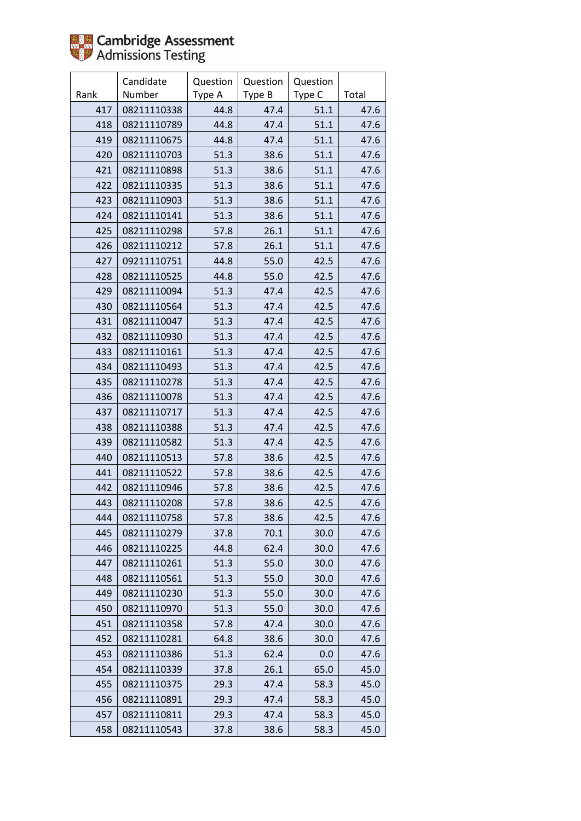

|      | Candidate   | Question | Question | Question |       |
|------|-------------|----------|----------|----------|-------|
| Rank | Number      | Type A   | Type B   | Type C   | Total |
| 417  | 08211110338 | 44.8     | 47.4     | 51.1     | 47.6  |
| 418  | 08211110789 | 44.8     | 47.4     | 51.1     | 47.6  |
| 419  | 08211110675 | 44.8     | 47.4     | 51.1     | 47.6  |
| 420  | 08211110703 | 51.3     | 38.6     | 51.1     | 47.6  |
| 421  | 08211110898 | 51.3     | 38.6     | 51.1     | 47.6  |
| 422  | 08211110335 | 51.3     | 38.6     | 51.1     | 47.6  |
| 423  | 08211110903 | 51.3     | 38.6     | 51.1     | 47.6  |
| 424  | 08211110141 | 51.3     | 38.6     | 51.1     | 47.6  |
| 425  | 08211110298 | 57.8     | 26.1     | 51.1     | 47.6  |
| 426  | 08211110212 | 57.8     | 26.1     | 51.1     | 47.6  |
| 427  | 09211110751 | 44.8     | 55.0     | 42.5     | 47.6  |
| 428  | 08211110525 | 44.8     | 55.0     | 42.5     | 47.6  |
| 429  | 08211110094 | 51.3     | 47.4     | 42.5     | 47.6  |
| 430  | 08211110564 | 51.3     | 47.4     | 42.5     | 47.6  |
| 431  | 08211110047 | 51.3     | 47.4     | 42.5     | 47.6  |
| 432  | 08211110930 | 51.3     | 47.4     | 42.5     | 47.6  |
| 433  | 08211110161 | 51.3     | 47.4     | 42.5     | 47.6  |
| 434  | 08211110493 | 51.3     | 47.4     | 42.5     | 47.6  |
| 435  | 08211110278 | 51.3     | 47.4     | 42.5     | 47.6  |
| 436  | 08211110078 | 51.3     | 47.4     | 42.5     | 47.6  |
| 437  | 08211110717 | 51.3     | 47.4     | 42.5     | 47.6  |
| 438  | 08211110388 | 51.3     | 47.4     | 42.5     | 47.6  |
| 439  | 08211110582 | 51.3     | 47.4     | 42.5     | 47.6  |
| 440  | 08211110513 | 57.8     | 38.6     | 42.5     | 47.6  |
| 441  | 08211110522 | 57.8     | 38.6     | 42.5     | 47.6  |
| 442  | 08211110946 | 57.8     | 38.6     | 42.5     | 47.6  |
| 443  | 08211110208 | 57.8     | 38.6     | 42.5     | 47.6  |
| 444  | 08211110758 | 57.8     | 38.6     | 42.5     | 47.6  |
| 445  | 08211110279 | 37.8     | 70.1     | 30.0     | 47.6  |
| 446  | 08211110225 | 44.8     | 62.4     | 30.0     | 47.6  |
| 447  | 08211110261 | 51.3     | 55.0     | 30.0     | 47.6  |
| 448  | 08211110561 | 51.3     | 55.0     | 30.0     | 47.6  |
| 449  | 08211110230 | 51.3     | 55.0     | 30.0     | 47.6  |
| 450  | 08211110970 | 51.3     | 55.0     | 30.0     | 47.6  |
| 451  | 08211110358 | 57.8     | 47.4     | 30.0     | 47.6  |
| 452  | 08211110281 | 64.8     | 38.6     | 30.0     | 47.6  |
| 453  | 08211110386 | 51.3     | 62.4     | 0.0      | 47.6  |
| 454  | 08211110339 | 37.8     | 26.1     | 65.0     | 45.0  |
| 455  | 08211110375 | 29.3     | 47.4     | 58.3     | 45.0  |
| 456  | 08211110891 | 29.3     | 47.4     | 58.3     | 45.0  |
| 457  | 08211110811 | 29.3     | 47.4     | 58.3     | 45.0  |
| 458  | 08211110543 | 37.8     | 38.6     | 58.3     | 45.0  |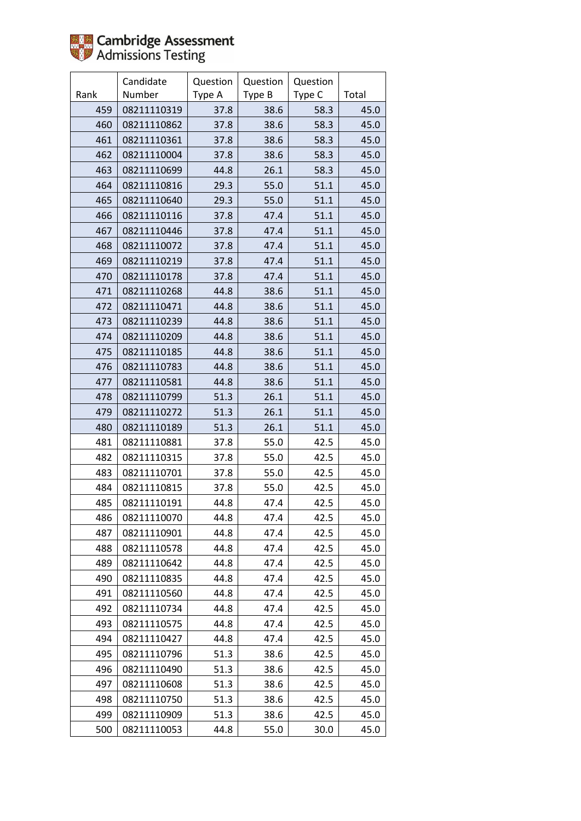

|      | Candidate   | Question | Question | Question |       |
|------|-------------|----------|----------|----------|-------|
| Rank | Number      | Type A   | Type B   | Type C   | Total |
| 459  | 08211110319 | 37.8     | 38.6     | 58.3     | 45.0  |
| 460  | 08211110862 | 37.8     | 38.6     | 58.3     | 45.0  |
| 461  | 08211110361 | 37.8     | 38.6     | 58.3     | 45.0  |
| 462  | 08211110004 | 37.8     | 38.6     | 58.3     | 45.0  |
| 463  | 08211110699 | 44.8     | 26.1     | 58.3     | 45.0  |
| 464  | 08211110816 | 29.3     | 55.0     | 51.1     | 45.0  |
| 465  | 08211110640 | 29.3     | 55.0     | 51.1     | 45.0  |
| 466  | 08211110116 | 37.8     | 47.4     | 51.1     | 45.0  |
| 467  | 08211110446 | 37.8     | 47.4     | 51.1     | 45.0  |
| 468  | 08211110072 | 37.8     | 47.4     | 51.1     | 45.0  |
| 469  | 08211110219 | 37.8     | 47.4     | 51.1     | 45.0  |
| 470  | 08211110178 | 37.8     | 47.4     | 51.1     | 45.0  |
| 471  | 08211110268 | 44.8     | 38.6     | 51.1     | 45.0  |
| 472  | 08211110471 | 44.8     | 38.6     | 51.1     | 45.0  |
| 473  | 08211110239 | 44.8     | 38.6     | 51.1     | 45.0  |
| 474  | 08211110209 | 44.8     | 38.6     | 51.1     | 45.0  |
| 475  | 08211110185 | 44.8     | 38.6     | 51.1     | 45.0  |
| 476  | 08211110783 | 44.8     | 38.6     | 51.1     | 45.0  |
| 477  | 08211110581 | 44.8     | 38.6     | 51.1     | 45.0  |
| 478  | 08211110799 | 51.3     | 26.1     | 51.1     | 45.0  |
| 479  | 08211110272 | 51.3     | 26.1     | 51.1     | 45.0  |
| 480  | 08211110189 | 51.3     | 26.1     | 51.1     | 45.0  |
| 481  | 08211110881 | 37.8     | 55.0     | 42.5     | 45.0  |
| 482  | 08211110315 | 37.8     | 55.0     | 42.5     | 45.0  |
| 483  | 08211110701 | 37.8     | 55.0     | 42.5     | 45.0  |
| 484  | 08211110815 | 37.8     | 55.0     | 42.5     | 45.0  |
| 485  | 08211110191 | 44.8     | 47.4     | 42.5     | 45.0  |
| 486  | 08211110070 | 44.8     | 47.4     | 42.5     | 45.0  |
| 487  | 08211110901 | 44.8     | 47.4     | 42.5     | 45.0  |
| 488  | 08211110578 | 44.8     | 47.4     | 42.5     | 45.0  |
| 489  | 08211110642 | 44.8     | 47.4     | 42.5     | 45.0  |
| 490  | 08211110835 | 44.8     | 47.4     | 42.5     | 45.0  |
| 491  | 08211110560 | 44.8     | 47.4     | 42.5     | 45.0  |
| 492  | 08211110734 | 44.8     | 47.4     | 42.5     | 45.0  |
| 493  | 08211110575 | 44.8     | 47.4     | 42.5     | 45.0  |
| 494  | 08211110427 | 44.8     | 47.4     | 42.5     | 45.0  |
| 495  | 08211110796 | 51.3     | 38.6     | 42.5     | 45.0  |
| 496  | 08211110490 | 51.3     | 38.6     | 42.5     | 45.0  |
| 497  | 08211110608 | 51.3     | 38.6     | 42.5     | 45.0  |
| 498  | 08211110750 | 51.3     | 38.6     | 42.5     | 45.0  |
| 499  | 08211110909 | 51.3     | 38.6     | 42.5     | 45.0  |
| 500  | 08211110053 | 44.8     | 55.0     | 30.0     | 45.0  |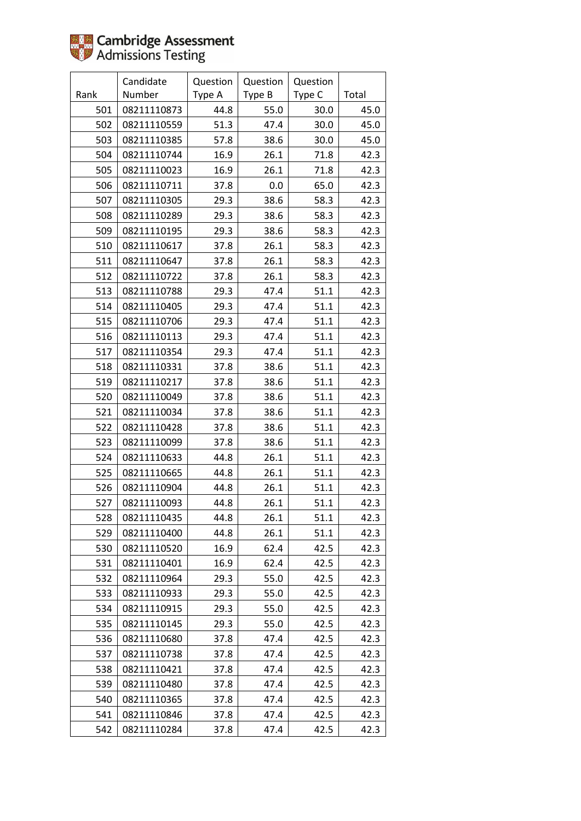

|      | Candidate   | Question | Question | Question |       |
|------|-------------|----------|----------|----------|-------|
| Rank | Number      | Type A   | Type B   | Type C   | Total |
| 501  | 08211110873 | 44.8     | 55.0     | 30.0     | 45.0  |
| 502  | 08211110559 | 51.3     | 47.4     | 30.0     | 45.0  |
| 503  | 08211110385 | 57.8     | 38.6     | 30.0     | 45.0  |
| 504  | 08211110744 | 16.9     | 26.1     | 71.8     | 42.3  |
| 505  | 08211110023 | 16.9     | 26.1     | 71.8     | 42.3  |
| 506  | 08211110711 | 37.8     | 0.0      | 65.0     | 42.3  |
| 507  | 08211110305 | 29.3     | 38.6     | 58.3     | 42.3  |
| 508  | 08211110289 | 29.3     | 38.6     | 58.3     | 42.3  |
| 509  | 08211110195 | 29.3     | 38.6     | 58.3     | 42.3  |
| 510  | 08211110617 | 37.8     | 26.1     | 58.3     | 42.3  |
| 511  | 08211110647 | 37.8     | 26.1     | 58.3     | 42.3  |
| 512  | 08211110722 | 37.8     | 26.1     | 58.3     | 42.3  |
| 513  | 08211110788 | 29.3     | 47.4     | 51.1     | 42.3  |
| 514  | 08211110405 | 29.3     | 47.4     | 51.1     | 42.3  |
| 515  | 08211110706 | 29.3     | 47.4     | 51.1     | 42.3  |
| 516  | 08211110113 | 29.3     | 47.4     | 51.1     | 42.3  |
| 517  | 08211110354 | 29.3     | 47.4     | 51.1     | 42.3  |
| 518  | 08211110331 | 37.8     | 38.6     | 51.1     | 42.3  |
| 519  | 08211110217 | 37.8     | 38.6     | 51.1     | 42.3  |
| 520  | 08211110049 | 37.8     | 38.6     | 51.1     | 42.3  |
| 521  | 08211110034 | 37.8     | 38.6     | 51.1     | 42.3  |
| 522  | 08211110428 | 37.8     | 38.6     | 51.1     | 42.3  |
| 523  | 08211110099 | 37.8     | 38.6     | 51.1     | 42.3  |
| 524  | 08211110633 | 44.8     | 26.1     | 51.1     | 42.3  |
| 525  | 08211110665 | 44.8     | 26.1     | 51.1     | 42.3  |
| 526  | 08211110904 | 44.8     | 26.1     | 51.1     | 42.3  |
| 527  | 08211110093 | 44.8     | 26.1     | 51.1     | 42.3  |
| 528  | 08211110435 | 44.8     | 26.1     | 51.1     | 42.3  |
| 529  | 08211110400 | 44.8     | 26.1     | 51.1     | 42.3  |
| 530  | 08211110520 | 16.9     | 62.4     | 42.5     | 42.3  |
| 531  | 08211110401 | 16.9     | 62.4     | 42.5     | 42.3  |
| 532  | 08211110964 | 29.3     | 55.0     | 42.5     | 42.3  |
| 533  | 08211110933 | 29.3     | 55.0     | 42.5     | 42.3  |
| 534  | 08211110915 | 29.3     | 55.0     | 42.5     | 42.3  |
| 535  | 08211110145 | 29.3     | 55.0     | 42.5     | 42.3  |
| 536  | 08211110680 | 37.8     | 47.4     | 42.5     | 42.3  |
| 537  | 08211110738 | 37.8     | 47.4     | 42.5     | 42.3  |
| 538  | 08211110421 | 37.8     | 47.4     | 42.5     | 42.3  |
| 539  | 08211110480 | 37.8     | 47.4     | 42.5     | 42.3  |
| 540  | 08211110365 | 37.8     | 47.4     | 42.5     | 42.3  |
| 541  | 08211110846 | 37.8     | 47.4     | 42.5     | 42.3  |
| 542  | 08211110284 | 37.8     | 47.4     | 42.5     | 42.3  |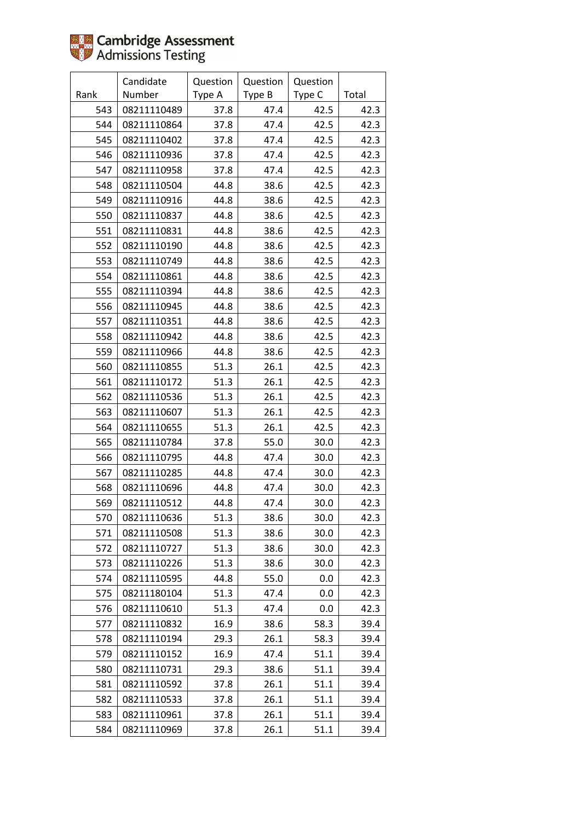

|      | Candidate   | Question | Question | Question |       |
|------|-------------|----------|----------|----------|-------|
| Rank | Number      | Type A   | Type B   | Type C   | Total |
| 543  | 08211110489 | 37.8     | 47.4     | 42.5     | 42.3  |
| 544  | 08211110864 | 37.8     | 47.4     | 42.5     | 42.3  |
| 545  | 08211110402 | 37.8     | 47.4     | 42.5     | 42.3  |
| 546  | 08211110936 | 37.8     | 47.4     | 42.5     | 42.3  |
| 547  | 08211110958 | 37.8     | 47.4     | 42.5     | 42.3  |
| 548  | 08211110504 | 44.8     | 38.6     | 42.5     | 42.3  |
| 549  | 08211110916 | 44.8     | 38.6     | 42.5     | 42.3  |
| 550  | 08211110837 | 44.8     | 38.6     | 42.5     | 42.3  |
| 551  | 08211110831 | 44.8     | 38.6     | 42.5     | 42.3  |
| 552  | 08211110190 | 44.8     | 38.6     | 42.5     | 42.3  |
| 553  | 08211110749 | 44.8     | 38.6     | 42.5     | 42.3  |
| 554  | 08211110861 | 44.8     | 38.6     | 42.5     | 42.3  |
| 555  | 08211110394 | 44.8     | 38.6     | 42.5     | 42.3  |
| 556  | 08211110945 | 44.8     | 38.6     | 42.5     | 42.3  |
| 557  | 08211110351 | 44.8     | 38.6     | 42.5     | 42.3  |
| 558  | 08211110942 | 44.8     | 38.6     | 42.5     | 42.3  |
| 559  | 08211110966 | 44.8     | 38.6     | 42.5     | 42.3  |
| 560  | 08211110855 | 51.3     | 26.1     | 42.5     | 42.3  |
| 561  | 08211110172 | 51.3     | 26.1     | 42.5     | 42.3  |
| 562  | 08211110536 | 51.3     | 26.1     | 42.5     | 42.3  |
| 563  | 08211110607 | 51.3     | 26.1     | 42.5     | 42.3  |
| 564  | 08211110655 | 51.3     | 26.1     | 42.5     | 42.3  |
| 565  | 08211110784 | 37.8     | 55.0     | 30.0     | 42.3  |
| 566  | 08211110795 | 44.8     | 47.4     | 30.0     | 42.3  |
| 567  | 08211110285 | 44.8     | 47.4     | 30.0     | 42.3  |
| 568  | 08211110696 | 44.8     | 47.4     | 30.0     | 42.3  |
| 569  | 08211110512 | 44.8     | 47.4     | 30.0     | 42.3  |
| 570  | 08211110636 | 51.3     | 38.6     | 30.0     | 42.3  |
| 571  | 08211110508 | 51.3     | 38.6     | 30.0     | 42.3  |
| 572  | 08211110727 | 51.3     | 38.6     | 30.0     | 42.3  |
| 573  | 08211110226 | 51.3     | 38.6     | 30.0     | 42.3  |
| 574  | 08211110595 | 44.8     | 55.0     | 0.0      | 42.3  |
| 575  | 08211180104 | 51.3     | 47.4     | 0.0      | 42.3  |
| 576  | 08211110610 | 51.3     | 47.4     | 0.0      | 42.3  |
| 577  | 08211110832 | 16.9     | 38.6     | 58.3     | 39.4  |
| 578  | 08211110194 | 29.3     | 26.1     | 58.3     | 39.4  |
| 579  | 08211110152 | 16.9     | 47.4     | 51.1     | 39.4  |
| 580  | 08211110731 | 29.3     | 38.6     | 51.1     | 39.4  |
| 581  | 08211110592 | 37.8     | 26.1     | 51.1     | 39.4  |
| 582  | 08211110533 | 37.8     | 26.1     | 51.1     | 39.4  |
| 583  | 08211110961 | 37.8     | 26.1     | 51.1     | 39.4  |
| 584  | 08211110969 | 37.8     | 26.1     | 51.1     | 39.4  |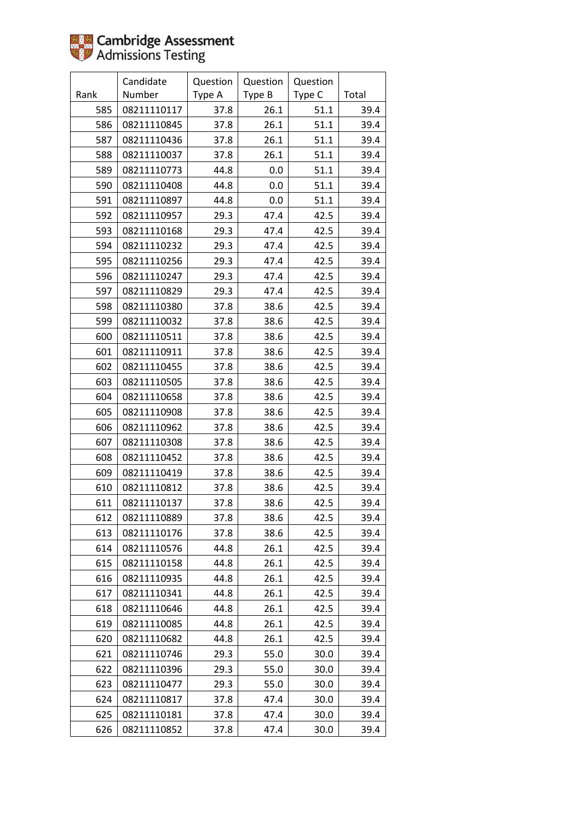

|      | Candidate   | Question | Question | Question |       |
|------|-------------|----------|----------|----------|-------|
| Rank | Number      | Type A   | Type B   | Type C   | Total |
| 585  | 08211110117 | 37.8     | 26.1     | 51.1     | 39.4  |
| 586  | 08211110845 | 37.8     | 26.1     | 51.1     | 39.4  |
| 587  | 08211110436 | 37.8     | 26.1     | 51.1     | 39.4  |
| 588  | 08211110037 | 37.8     | 26.1     | 51.1     | 39.4  |
| 589  | 08211110773 | 44.8     | 0.0      | 51.1     | 39.4  |
| 590  | 08211110408 | 44.8     | 0.0      | 51.1     | 39.4  |
| 591  | 08211110897 | 44.8     | 0.0      | 51.1     | 39.4  |
| 592  | 08211110957 | 29.3     | 47.4     | 42.5     | 39.4  |
| 593  | 08211110168 | 29.3     | 47.4     | 42.5     | 39.4  |
| 594  | 08211110232 | 29.3     | 47.4     | 42.5     | 39.4  |
| 595  | 08211110256 | 29.3     | 47.4     | 42.5     | 39.4  |
| 596  | 08211110247 | 29.3     | 47.4     | 42.5     | 39.4  |
| 597  | 08211110829 | 29.3     | 47.4     | 42.5     | 39.4  |
| 598  | 08211110380 | 37.8     | 38.6     | 42.5     | 39.4  |
| 599  | 08211110032 | 37.8     | 38.6     | 42.5     | 39.4  |
| 600  | 08211110511 | 37.8     | 38.6     | 42.5     | 39.4  |
| 601  | 08211110911 | 37.8     | 38.6     | 42.5     | 39.4  |
| 602  | 08211110455 | 37.8     | 38.6     | 42.5     | 39.4  |
| 603  | 08211110505 | 37.8     | 38.6     | 42.5     | 39.4  |
| 604  | 08211110658 | 37.8     | 38.6     | 42.5     | 39.4  |
| 605  | 08211110908 | 37.8     | 38.6     | 42.5     | 39.4  |
| 606  | 08211110962 | 37.8     | 38.6     | 42.5     | 39.4  |
| 607  | 08211110308 | 37.8     | 38.6     | 42.5     | 39.4  |
| 608  | 08211110452 | 37.8     | 38.6     | 42.5     | 39.4  |
| 609  | 08211110419 | 37.8     | 38.6     | 42.5     | 39.4  |
| 610  | 08211110812 | 37.8     | 38.6     | 42.5     | 39.4  |
| 611  | 08211110137 | 37.8     | 38.6     | 42.5     | 39.4  |
| 612  | 08211110889 | 37.8     | 38.6     | 42.5     | 39.4  |
| 613  | 08211110176 | 37.8     | 38.6     | 42.5     | 39.4  |
| 614  | 08211110576 | 44.8     | 26.1     | 42.5     | 39.4  |
| 615  | 08211110158 | 44.8     | 26.1     | 42.5     | 39.4  |
| 616  | 08211110935 | 44.8     | 26.1     | 42.5     | 39.4  |
| 617  | 08211110341 | 44.8     | 26.1     | 42.5     | 39.4  |
| 618  | 08211110646 | 44.8     | 26.1     | 42.5     | 39.4  |
| 619  | 08211110085 | 44.8     | 26.1     | 42.5     | 39.4  |
| 620  | 08211110682 | 44.8     | 26.1     | 42.5     | 39.4  |
| 621  | 08211110746 | 29.3     | 55.0     | 30.0     | 39.4  |
| 622  | 08211110396 | 29.3     | 55.0     | 30.0     | 39.4  |
| 623  | 08211110477 | 29.3     | 55.0     | 30.0     | 39.4  |
| 624  | 08211110817 | 37.8     | 47.4     | 30.0     | 39.4  |
| 625  | 08211110181 | 37.8     | 47.4     | 30.0     | 39.4  |
| 626  | 08211110852 | 37.8     | 47.4     | 30.0     | 39.4  |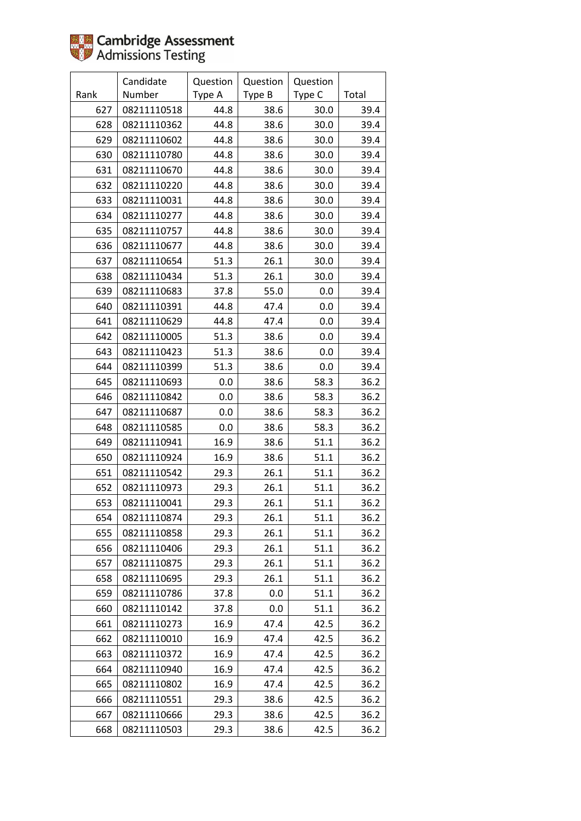

|      | Candidate   | Question | Question | Question |       |
|------|-------------|----------|----------|----------|-------|
| Rank | Number      | Type A   | Type B   | Type C   | Total |
| 627  | 08211110518 | 44.8     | 38.6     | 30.0     | 39.4  |
| 628  | 08211110362 | 44.8     | 38.6     | 30.0     | 39.4  |
| 629  | 08211110602 | 44.8     | 38.6     | 30.0     | 39.4  |
| 630  | 08211110780 | 44.8     | 38.6     | 30.0     | 39.4  |
| 631  | 08211110670 | 44.8     | 38.6     | 30.0     | 39.4  |
| 632  | 08211110220 | 44.8     | 38.6     | 30.0     | 39.4  |
| 633  | 08211110031 | 44.8     | 38.6     | 30.0     | 39.4  |
| 634  | 08211110277 | 44.8     | 38.6     | 30.0     | 39.4  |
| 635  | 08211110757 | 44.8     | 38.6     | 30.0     | 39.4  |
| 636  | 08211110677 | 44.8     | 38.6     | 30.0     | 39.4  |
| 637  | 08211110654 | 51.3     | 26.1     | 30.0     | 39.4  |
| 638  | 08211110434 | 51.3     | 26.1     | 30.0     | 39.4  |
| 639  | 08211110683 | 37.8     | 55.0     | 0.0      | 39.4  |
| 640  | 08211110391 | 44.8     | 47.4     | 0.0      | 39.4  |
| 641  | 08211110629 | 44.8     | 47.4     | 0.0      | 39.4  |
| 642  | 08211110005 | 51.3     | 38.6     | 0.0      | 39.4  |
| 643  | 08211110423 | 51.3     | 38.6     | 0.0      | 39.4  |
| 644  | 08211110399 | 51.3     | 38.6     | 0.0      | 39.4  |
| 645  | 08211110693 | 0.0      | 38.6     | 58.3     | 36.2  |
| 646  | 08211110842 | 0.0      | 38.6     | 58.3     | 36.2  |
| 647  | 08211110687 | 0.0      | 38.6     | 58.3     | 36.2  |
| 648  | 08211110585 | 0.0      | 38.6     | 58.3     | 36.2  |
| 649  | 08211110941 | 16.9     | 38.6     | 51.1     | 36.2  |
| 650  | 08211110924 | 16.9     | 38.6     | 51.1     | 36.2  |
| 651  | 08211110542 | 29.3     | 26.1     | 51.1     | 36.2  |
| 652  | 08211110973 | 29.3     | 26.1     | 51.1     | 36.2  |
| 653  | 08211110041 | 29.3     | 26.1     | 51.1     | 36.2  |
| 654  | 08211110874 | 29.3     | 26.1     | 51.1     | 36.2  |
| 655  | 08211110858 | 29.3     | 26.1     | 51.1     | 36.2  |
| 656  | 08211110406 | 29.3     | 26.1     | 51.1     | 36.2  |
| 657  | 08211110875 | 29.3     | 26.1     | 51.1     | 36.2  |
| 658  | 08211110695 | 29.3     | 26.1     | 51.1     | 36.2  |
| 659  | 08211110786 | 37.8     | 0.0      | 51.1     | 36.2  |
| 660  | 08211110142 | 37.8     | 0.0      | 51.1     | 36.2  |
| 661  | 08211110273 | 16.9     | 47.4     | 42.5     | 36.2  |
| 662  | 08211110010 | 16.9     | 47.4     | 42.5     | 36.2  |
| 663  | 08211110372 | 16.9     | 47.4     | 42.5     | 36.2  |
| 664  | 08211110940 | 16.9     | 47.4     | 42.5     | 36.2  |
| 665  | 08211110802 | 16.9     | 47.4     | 42.5     | 36.2  |
| 666  | 08211110551 | 29.3     | 38.6     | 42.5     | 36.2  |
| 667  | 08211110666 | 29.3     | 38.6     | 42.5     | 36.2  |
| 668  | 08211110503 | 29.3     | 38.6     | 42.5     | 36.2  |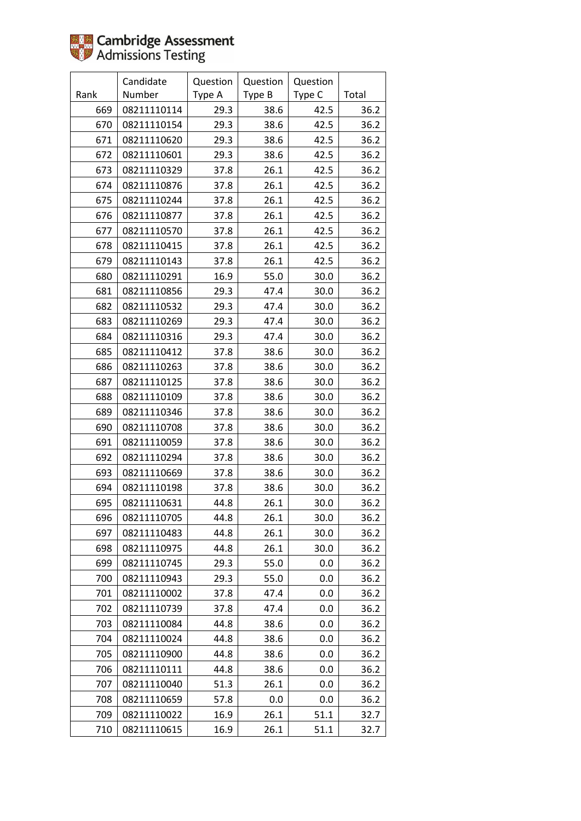

|      | Candidate   | Question | Question | Question |       |
|------|-------------|----------|----------|----------|-------|
| Rank | Number      | Type A   | Type B   | Type C   | Total |
| 669  | 08211110114 | 29.3     | 38.6     | 42.5     | 36.2  |
| 670  | 08211110154 | 29.3     | 38.6     | 42.5     | 36.2  |
| 671  | 08211110620 | 29.3     | 38.6     | 42.5     | 36.2  |
| 672  | 08211110601 | 29.3     | 38.6     | 42.5     | 36.2  |
| 673  | 08211110329 | 37.8     | 26.1     | 42.5     | 36.2  |
| 674  | 08211110876 | 37.8     | 26.1     | 42.5     | 36.2  |
| 675  | 08211110244 | 37.8     | 26.1     | 42.5     | 36.2  |
| 676  | 08211110877 | 37.8     | 26.1     | 42.5     | 36.2  |
| 677  | 08211110570 | 37.8     | 26.1     | 42.5     | 36.2  |
| 678  | 08211110415 | 37.8     | 26.1     | 42.5     | 36.2  |
| 679  | 08211110143 | 37.8     | 26.1     | 42.5     | 36.2  |
| 680  | 08211110291 | 16.9     | 55.0     | 30.0     | 36.2  |
| 681  | 08211110856 | 29.3     | 47.4     | 30.0     | 36.2  |
| 682  | 08211110532 | 29.3     | 47.4     | 30.0     | 36.2  |
| 683  | 08211110269 | 29.3     | 47.4     | 30.0     | 36.2  |
| 684  | 08211110316 | 29.3     | 47.4     | 30.0     | 36.2  |
| 685  | 08211110412 | 37.8     | 38.6     | 30.0     | 36.2  |
| 686  | 08211110263 | 37.8     | 38.6     | 30.0     | 36.2  |
| 687  | 08211110125 | 37.8     | 38.6     | 30.0     | 36.2  |
| 688  | 08211110109 | 37.8     | 38.6     | 30.0     | 36.2  |
| 689  | 08211110346 | 37.8     | 38.6     | 30.0     | 36.2  |
| 690  | 08211110708 | 37.8     | 38.6     | 30.0     | 36.2  |
| 691  | 08211110059 | 37.8     | 38.6     | 30.0     | 36.2  |
| 692  | 08211110294 | 37.8     | 38.6     | 30.0     | 36.2  |
| 693  | 08211110669 | 37.8     | 38.6     | 30.0     | 36.2  |
| 694  | 08211110198 | 37.8     | 38.6     | 30.0     | 36.2  |
| 695  | 08211110631 | 44.8     | 26.1     | 30.0     | 36.2  |
| 696  | 08211110705 | 44.8     | 26.1     | 30.0     | 36.2  |
| 697  | 08211110483 | 44.8     | 26.1     | 30.0     | 36.2  |
| 698  | 08211110975 | 44.8     | 26.1     | 30.0     | 36.2  |
| 699  | 08211110745 | 29.3     | 55.0     | 0.0      | 36.2  |
| 700  | 08211110943 | 29.3     | 55.0     | 0.0      | 36.2  |
| 701  | 08211110002 | 37.8     | 47.4     | 0.0      | 36.2  |
| 702  | 08211110739 | 37.8     | 47.4     | 0.0      | 36.2  |
| 703  | 08211110084 | 44.8     | 38.6     | 0.0      | 36.2  |
| 704  | 08211110024 | 44.8     | 38.6     | 0.0      | 36.2  |
| 705  | 08211110900 | 44.8     | 38.6     | 0.0      | 36.2  |
| 706  | 08211110111 | 44.8     | 38.6     | 0.0      | 36.2  |
| 707  | 08211110040 | 51.3     | 26.1     | 0.0      | 36.2  |
| 708  | 08211110659 | 57.8     | 0.0      | 0.0      | 36.2  |
| 709  | 08211110022 | 16.9     | 26.1     | 51.1     | 32.7  |
| 710  | 08211110615 | 16.9     | 26.1     | 51.1     | 32.7  |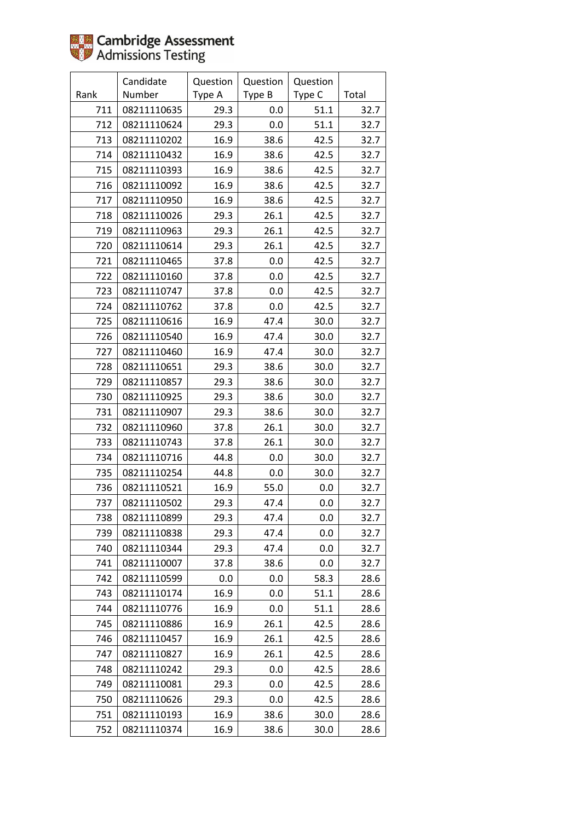

|      | Candidate   | Question | Question | Question |       |
|------|-------------|----------|----------|----------|-------|
| Rank | Number      | Type A   | Type B   | Type C   | Total |
| 711  | 08211110635 | 29.3     | 0.0      | 51.1     | 32.7  |
| 712  | 08211110624 | 29.3     | 0.0      | 51.1     | 32.7  |
| 713  | 08211110202 | 16.9     | 38.6     | 42.5     | 32.7  |
| 714  | 08211110432 | 16.9     | 38.6     | 42.5     | 32.7  |
| 715  | 08211110393 | 16.9     | 38.6     | 42.5     | 32.7  |
| 716  | 08211110092 | 16.9     | 38.6     | 42.5     | 32.7  |
| 717  | 08211110950 | 16.9     | 38.6     | 42.5     | 32.7  |
| 718  | 08211110026 | 29.3     | 26.1     | 42.5     | 32.7  |
| 719  | 08211110963 | 29.3     | 26.1     | 42.5     | 32.7  |
| 720  | 08211110614 | 29.3     | 26.1     | 42.5     | 32.7  |
| 721  | 08211110465 | 37.8     | 0.0      | 42.5     | 32.7  |
| 722  | 08211110160 | 37.8     | 0.0      | 42.5     | 32.7  |
| 723  | 08211110747 | 37.8     | 0.0      | 42.5     | 32.7  |
| 724  | 08211110762 | 37.8     | 0.0      | 42.5     | 32.7  |
| 725  | 08211110616 | 16.9     | 47.4     | 30.0     | 32.7  |
| 726  | 08211110540 | 16.9     | 47.4     | 30.0     | 32.7  |
| 727  | 08211110460 | 16.9     | 47.4     | 30.0     | 32.7  |
| 728  | 08211110651 | 29.3     | 38.6     | 30.0     | 32.7  |
| 729  | 08211110857 | 29.3     | 38.6     | 30.0     | 32.7  |
| 730  | 08211110925 | 29.3     | 38.6     | 30.0     | 32.7  |
| 731  | 08211110907 | 29.3     | 38.6     | 30.0     | 32.7  |
| 732  | 08211110960 | 37.8     | 26.1     | 30.0     | 32.7  |
| 733  | 08211110743 | 37.8     | 26.1     | 30.0     | 32.7  |
| 734  | 08211110716 | 44.8     | 0.0      | 30.0     | 32.7  |
| 735  | 08211110254 | 44.8     | 0.0      | 30.0     | 32.7  |
| 736  | 08211110521 | 16.9     | 55.0     | 0.0      | 32.7  |
| 737  | 08211110502 | 29.3     | 47.4     | 0.0      | 32.7  |
| 738  | 08211110899 | 29.3     | 47.4     | 0.0      | 32.7  |
| 739  | 08211110838 | 29.3     | 47.4     | 0.0      | 32.7  |
| 740  | 08211110344 | 29.3     | 47.4     | 0.0      | 32.7  |
| 741  | 08211110007 | 37.8     | 38.6     | 0.0      | 32.7  |
| 742  | 08211110599 | 0.0      | 0.0      | 58.3     | 28.6  |
| 743  | 08211110174 | 16.9     | 0.0      | 51.1     | 28.6  |
| 744  | 08211110776 | 16.9     | 0.0      | 51.1     | 28.6  |
| 745  | 08211110886 | 16.9     | 26.1     | 42.5     | 28.6  |
| 746  | 08211110457 | 16.9     | 26.1     | 42.5     | 28.6  |
| 747  | 08211110827 | 16.9     | 26.1     | 42.5     | 28.6  |
| 748  | 08211110242 | 29.3     | 0.0      | 42.5     | 28.6  |
| 749  | 08211110081 | 29.3     | 0.0      | 42.5     | 28.6  |
| 750  | 08211110626 | 29.3     | 0.0      | 42.5     | 28.6  |
| 751  | 08211110193 | 16.9     | 38.6     | 30.0     | 28.6  |
| 752  | 08211110374 | 16.9     | 38.6     | 30.0     | 28.6  |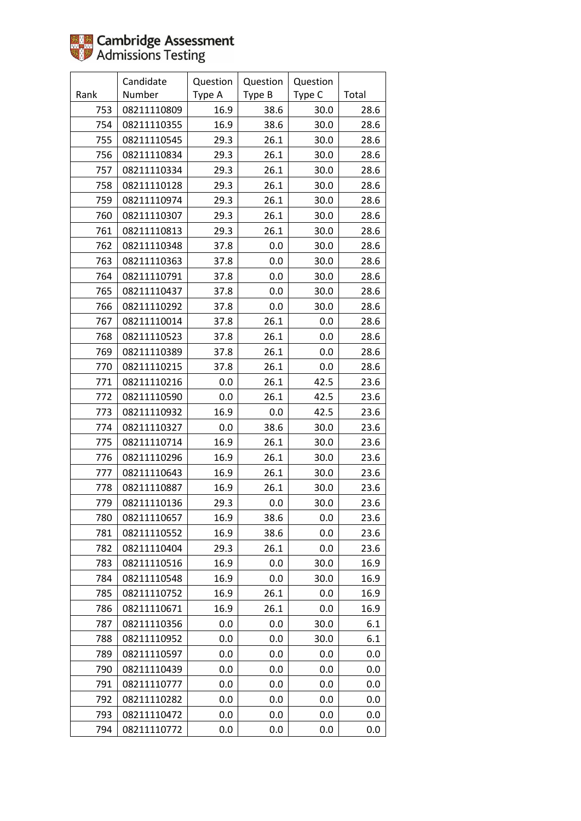

|      | Candidate   | Question | Question | Question |       |
|------|-------------|----------|----------|----------|-------|
| Rank | Number      | Type A   | Type B   | Type C   | Total |
| 753  | 08211110809 | 16.9     | 38.6     | 30.0     | 28.6  |
| 754  | 08211110355 | 16.9     | 38.6     | 30.0     | 28.6  |
| 755  | 08211110545 | 29.3     | 26.1     | 30.0     | 28.6  |
| 756  | 08211110834 | 29.3     | 26.1     | 30.0     | 28.6  |
| 757  | 08211110334 | 29.3     | 26.1     | 30.0     | 28.6  |
| 758  | 08211110128 | 29.3     | 26.1     | 30.0     | 28.6  |
| 759  | 08211110974 | 29.3     | 26.1     | 30.0     | 28.6  |
| 760  | 08211110307 | 29.3     | 26.1     | 30.0     | 28.6  |
| 761  | 08211110813 | 29.3     | 26.1     | 30.0     | 28.6  |
| 762  | 08211110348 | 37.8     | 0.0      | 30.0     | 28.6  |
| 763  | 08211110363 | 37.8     | 0.0      | 30.0     | 28.6  |
| 764  | 08211110791 | 37.8     | 0.0      | 30.0     | 28.6  |
| 765  | 08211110437 | 37.8     | 0.0      | 30.0     | 28.6  |
| 766  | 08211110292 | 37.8     | 0.0      | 30.0     | 28.6  |
| 767  | 08211110014 | 37.8     | 26.1     | 0.0      | 28.6  |
| 768  | 08211110523 | 37.8     | 26.1     | 0.0      | 28.6  |
| 769  | 08211110389 | 37.8     | 26.1     | 0.0      | 28.6  |
| 770  | 08211110215 | 37.8     | 26.1     | 0.0      | 28.6  |
| 771  | 08211110216 | 0.0      | 26.1     | 42.5     | 23.6  |
| 772  | 08211110590 | 0.0      | 26.1     | 42.5     | 23.6  |
| 773  | 08211110932 | 16.9     | 0.0      | 42.5     | 23.6  |
| 774  | 08211110327 | 0.0      | 38.6     | 30.0     | 23.6  |
| 775  | 08211110714 | 16.9     | 26.1     | 30.0     | 23.6  |
| 776  | 08211110296 | 16.9     | 26.1     | 30.0     | 23.6  |
| 777  | 08211110643 | 16.9     | 26.1     | 30.0     | 23.6  |
| 778  | 08211110887 | 16.9     | 26.1     | 30.0     | 23.6  |
| 779  | 08211110136 | 29.3     | 0.0      | 30.0     | 23.6  |
| 780  | 08211110657 | 16.9     | 38.6     | 0.0      | 23.6  |
| 781  | 08211110552 | 16.9     | 38.6     | 0.0      | 23.6  |
| 782  | 08211110404 | 29.3     | 26.1     | 0.0      | 23.6  |
| 783  | 08211110516 | 16.9     | 0.0      | 30.0     | 16.9  |
| 784  | 08211110548 | 16.9     | 0.0      | 30.0     | 16.9  |
| 785  | 08211110752 | 16.9     | 26.1     | 0.0      | 16.9  |
| 786  | 08211110671 | 16.9     | 26.1     | 0.0      | 16.9  |
| 787  | 08211110356 | 0.0      | 0.0      | 30.0     | 6.1   |
| 788  | 08211110952 | 0.0      | 0.0      | 30.0     | 6.1   |
| 789  | 08211110597 | 0.0      | 0.0      | 0.0      | 0.0   |
| 790  | 08211110439 | 0.0      | 0.0      | 0.0      | 0.0   |
| 791  | 08211110777 | 0.0      | 0.0      | 0.0      | 0.0   |
| 792  | 08211110282 | 0.0      | 0.0      | 0.0      | 0.0   |
| 793  | 08211110472 | 0.0      | 0.0      | 0.0      | 0.0   |
| 794  | 08211110772 | 0.0      | 0.0      | 0.0      | 0.0   |